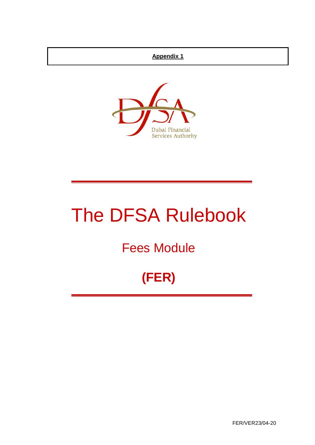## **Appendix 1**



# The DFSA Rulebook

## Fees Module

## **(FER)**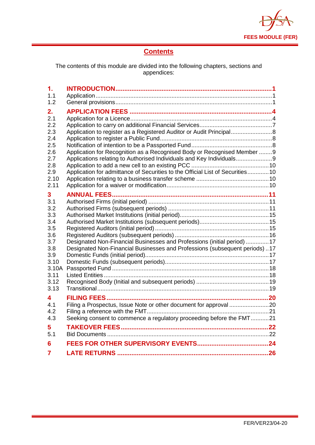

## **Contents**

The contents of this module are divided into the following chapters, sections and appendices:

| $\mathbf 1$ . |                                                                                                                                                       |  |
|---------------|-------------------------------------------------------------------------------------------------------------------------------------------------------|--|
| 1.1           |                                                                                                                                                       |  |
| 1.2           |                                                                                                                                                       |  |
| 2.            |                                                                                                                                                       |  |
| 2.1           |                                                                                                                                                       |  |
| 2.2           |                                                                                                                                                       |  |
| 2.3           | Application to register as a Registered Auditor or Audit Principal                                                                                    |  |
| 2.4           |                                                                                                                                                       |  |
| 2.5           |                                                                                                                                                       |  |
| 2.6           | Application for Recognition as a Recognised Body or Recognised Member 9                                                                               |  |
| 2.7           | Applications relating to Authorised Individuals and Key Individuals                                                                                   |  |
| 2.8           |                                                                                                                                                       |  |
| 2.9           | Application for admittance of Securities to the Official List of Securities 10                                                                        |  |
| 2.10          |                                                                                                                                                       |  |
| 2.11          |                                                                                                                                                       |  |
| 3             |                                                                                                                                                       |  |
| 3.1           |                                                                                                                                                       |  |
| 3.2           |                                                                                                                                                       |  |
| 3.3           |                                                                                                                                                       |  |
| 3.4           |                                                                                                                                                       |  |
| 3.5           |                                                                                                                                                       |  |
| 3.6           |                                                                                                                                                       |  |
| 3.7<br>3.8    | Designated Non-Financial Businesses and Professions (initial period) 17<br>Designated Non-Financial Businesses and Professions (subsequent periods)17 |  |
| 3.9           |                                                                                                                                                       |  |
| 3.10          |                                                                                                                                                       |  |
| 3.10A         |                                                                                                                                                       |  |
| 3.11          |                                                                                                                                                       |  |
| 3.12          |                                                                                                                                                       |  |
| 3.13          |                                                                                                                                                       |  |
| 4             |                                                                                                                                                       |  |
| 4.1           |                                                                                                                                                       |  |
| 4.2           |                                                                                                                                                       |  |
| 4.3           | Seeking consent to commence a regulatory proceeding before the FMT21                                                                                  |  |
| 5             |                                                                                                                                                       |  |
| 5.1           |                                                                                                                                                       |  |
| 6             |                                                                                                                                                       |  |
|               |                                                                                                                                                       |  |
| 7             |                                                                                                                                                       |  |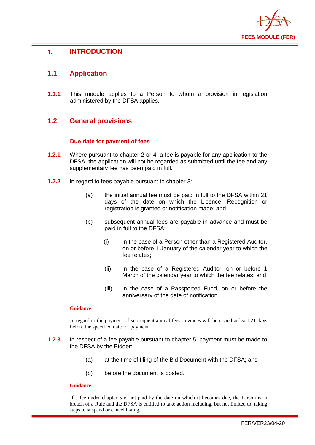

## <span id="page-2-0"></span>**1. INTRODUCTION**

## <span id="page-2-1"></span>**1.1 Application**

**1.1.1** This module applies to a Person to whom a provision in legislation administered by the DFSA applies.

## <span id="page-2-2"></span>**1.2 General provisions**

#### **Due date for payment of fees**

- **1.2.1** Where pursuant to chapter 2 or 4, a fee is payable for any application to the DFSA, the application will not be regarded as submitted until the fee and any supplementary fee has been paid in full.
- **1.2.2** In regard to fees payable pursuant to chapter 3:
	- (a) the initial annual fee must be paid in full to the DFSA within 21 days of the date on which the Licence, Recognition or registration is granted or notification made; and
	- (b) subsequent annual fees are payable in advance and must be paid in full to the DFSA:
		- (i) in the case of a Person other than a Registered Auditor, on or before 1 January of the calendar year to which the fee relates;
		- (ii) in the case of a Registered Auditor, on or before 1 March of the calendar year to which the fee relates; and
		- (iii) in the case of a Passported Fund, on or before the anniversary of the date of notification.

#### **Guidance**

In regard to the payment of subsequent annual fees, invoices will be issued at least 21 days before the specified date for payment.

- **1.2.3** In respect of a fee payable pursuant to chapter 5, payment must be made to the DFSA by the Bidder:
	- (a) at the time of filing of the Bid Document with the DFSA; and
	- (b) before the document is posted.

#### **Guidance**

If a fee under chapter 5 is not paid by the date on which it becomes due, the Person is in breach of a Rule and the DFSA is entitled to take action including, but not limited to, taking steps to suspend or cancel listing.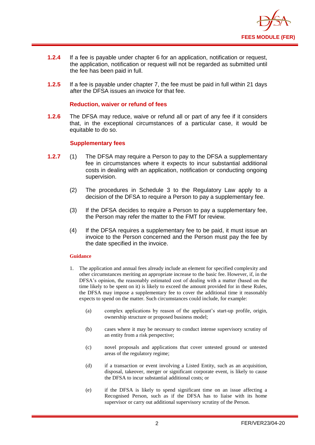

- **1.2.4** If a fee is payable under chapter 6 for an application, notification or request, the application, notification or request will not be regarded as submitted until the fee has been paid in full.
- **1.2.5** If a fee is payable under chapter 7, the fee must be paid in full within 21 days after the DFSA issues an invoice for that fee.

#### **Reduction, waiver or refund of fees**

**1.2.6** The DFSA may reduce, waive or refund all or part of any fee if it considers that, in the exceptional circumstances of a particular case, it would be equitable to do so.

#### **Supplementary fees**

- **1.2.7** (1) The DFSA may require a Person to pay to the DFSA a supplementary fee in circumstances where it expects to incur substantial additional costs in dealing with an application, notification or conducting ongoing supervision.
	- (2) The procedures in Schedule 3 to the Regulatory Law apply to a decision of the DFSA to require a Person to pay a supplementary fee.
	- (3) If the DFSA decides to require a Person to pay a supplementary fee, the Person may refer the matter to the FMT for review.
	- (4) If the DFSA requires a supplementary fee to be paid, it must issue an invoice to the Person concerned and the Person must pay the fee by the date specified in the invoice.

#### **Guidance**

- 1. The application and annual fees already include an element for specified complexity and other circumstances meriting an appropriate increase to the basic fee. However, if, in the DFSA's opinion, the reasonably estimated cost of dealing with a matter (based on the time likely to be spent on it) is likely to exceed the amount provided for in these Rules, the DFSA may impose a supplementary fee to cover the additional time it reasonably expects to spend on the matter. Such circumstances could include, for example:
	- (a) complex applications by reason of the applicant's start-up profile, origin, ownership structure or proposed business model;
	- (b) cases where it may be necessary to conduct intense supervisory scrutiny of an entity from a risk perspective;
	- (c) novel proposals and applications that cover untested ground or untested areas of the regulatory regime;
	- (d) if a transaction or event involving a Listed Entity, such as an acquisition, disposal, takeover, merger or significant corporate event, is likely to cause the DFSA to incur substantial additional costs; or
	- (e) if the DFSA is likely to spend significant time on an issue affecting a Recognised Person, such as if the DFSA has to liaise with its home supervisor or carry out additional supervisory scrutiny of the Person.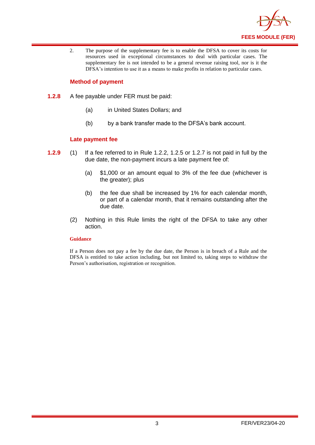

2. The purpose of the supplementary fee is to enable the DFSA to cover its costs for resources used in exceptional circumstances to deal with particular cases. The supplementary fee is not intended to be a general revenue raising tool, nor is it the DFSA's intention to use it as a means to make profits in relation to particular cases.

#### **Method of payment**

- **1.2.8** A fee payable under FER must be paid:
	- (a) in United States Dollars; and
	- (b) by a bank transfer made to the DFSA's bank account.

#### **Late payment fee**

- **1.2.9** (1) If a fee referred to in Rule 1.2.2, 1.2.5 or 1.2.7 is not paid in full by the due date, the non-payment incurs a late payment fee of:
	- (a) \$1,000 or an amount equal to 3% of the fee due (whichever is the greater); plus
	- (b) the fee due shall be increased by 1% for each calendar month, or part of a calendar month, that it remains outstanding after the due date.
	- (2) Nothing in this Rule limits the right of the DFSA to take any other action.

#### **Guidance**

If a Person does not pay a fee by the due date, the Person is in breach of a Rule and the DFSA is entitled to take action including, but not limited to, taking steps to withdraw the Person's authorisation, registration or recognition.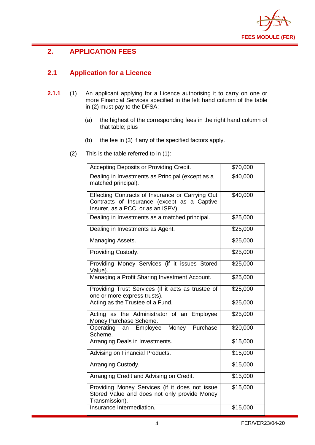

## <span id="page-5-0"></span>**2. APPLICATION FEES**

## <span id="page-5-1"></span>**2.1 Application for a Licence**

- **2.1.1** (1) An applicant applying for a Licence authorising it to carry on one or more Financial Services specified in the left hand column of the table in (2) must pay to the DFSA:
	- (a) the highest of the corresponding fees in the right hand column of that table; plus
	- (b) the fee in (3) if any of the specified factors apply.
	- (2) This is the table referred to in (1):

| Accepting Deposits or Providing Credit.                                                                                               | \$70,000 |
|---------------------------------------------------------------------------------------------------------------------------------------|----------|
| Dealing in Investments as Principal (except as a<br>matched principal).                                                               | \$40,000 |
| Effecting Contracts of Insurance or Carrying Out<br>Contracts of Insurance (except as a Captive<br>Insurer, as a PCC, or as an ISPV). | \$40,000 |
| Dealing in Investments as a matched principal.                                                                                        | \$25,000 |
| Dealing in Investments as Agent.                                                                                                      | \$25,000 |
| Managing Assets.                                                                                                                      | \$25,000 |
| Providing Custody.                                                                                                                    | \$25,000 |
| Providing Money Services (if it issues Stored<br>Value).                                                                              | \$25,000 |
| Managing a Profit Sharing Investment Account.                                                                                         | \$25,000 |
| Providing Trust Services (if it acts as trustee of<br>one or more express trusts).                                                    | \$25,000 |
| Acting as the Trustee of a Fund.                                                                                                      | \$25,000 |
| Acting as the Administrator of an Employee<br>Money Purchase Scheme.                                                                  | \$25,000 |
| Money Purchase<br>an Employee<br>Operating<br>Scheme.                                                                                 | \$20,000 |
| Arranging Deals in Investments.                                                                                                       | \$15,000 |
| Advising on Financial Products.                                                                                                       | \$15,000 |
| Arranging Custody.                                                                                                                    | \$15,000 |
| Arranging Credit and Advising on Credit.                                                                                              | \$15,000 |
| Providing Money Services (if it does not issue<br>Stored Value and does not only provide Money<br>Transmission).                      | \$15,000 |
| Insurance Intermediation.                                                                                                             | \$15,000 |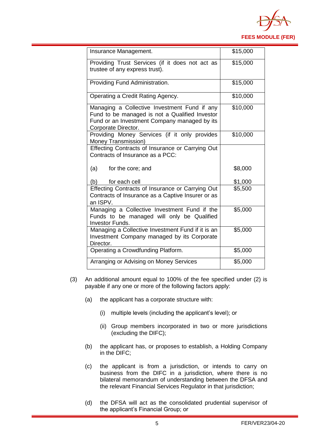

| Insurance Management.                                                                                                                                                 | \$15,000 |
|-----------------------------------------------------------------------------------------------------------------------------------------------------------------------|----------|
| Providing Trust Services (if it does not act as<br>trustee of any express trust).                                                                                     | \$15,000 |
| Providing Fund Administration.                                                                                                                                        | \$15,000 |
| Operating a Credit Rating Agency.                                                                                                                                     | \$10,000 |
| Managing a Collective Investment Fund if any<br>Fund to be managed is not a Qualified Investor<br>Fund or an Investment Company managed by its<br>Corporate Director. | \$10,000 |
| Providing Money Services (if it only provides<br>Money Transmission)                                                                                                  | \$10,000 |
| Effecting Contracts of Insurance or Carrying Out<br>Contracts of Insurance as a PCC:                                                                                  |          |
| (a)<br>for the core; and                                                                                                                                              | \$8,000  |
| for each cell<br>(b)                                                                                                                                                  | \$1,000  |
| Effecting Contracts of Insurance or Carrying Out<br>Contracts of Insurance as a Captive Insurer or as<br>an ISPV.                                                     | \$5,500  |
| Managing a Collective Investment Fund if the<br>Funds to be managed will only be Qualified<br>Investor Funds.                                                         | \$5,000  |
| Managing a Collective Investment Fund if it is an<br>Investment Company managed by its Corporate<br>Director.                                                         | \$5,000  |
| Operating a Crowdfunding Platform.                                                                                                                                    | \$5,000  |
| Arranging or Advising on Money Services                                                                                                                               | \$5,000  |

- (3) An additional amount equal to 100% of the fee specified under (2) is payable if any one or more of the following factors apply:
	- (a) the applicant has a corporate structure with:
		- (i) multiple levels (including the applicant's level); or
		- (ii) Group members incorporated in two or more jurisdictions (excluding the DIFC);
	- (b) the applicant has, or proposes to establish, a Holding Company in the DIFC;
	- (c) the applicant is from a jurisdiction, or intends to carry on business from the DIFC in a jurisdiction, where there is no bilateral memorandum of understanding between the DFSA and the relevant Financial Services Regulator in that jurisdiction;
	- (d) the DFSA will act as the consolidated prudential supervisor of the applicant's Financial Group; or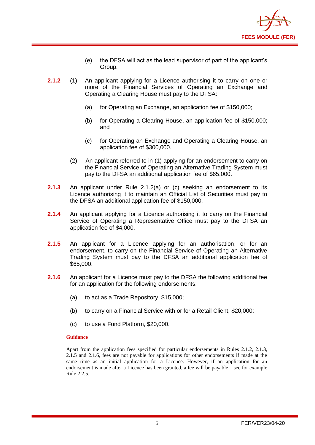

- (e) the DFSA will act as the lead supervisor of part of the applicant's Group.
- **2.1.2** (1) An applicant applying for a Licence authorising it to carry on one or more of the Financial Services of Operating an Exchange and Operating a Clearing House must pay to the DFSA:
	- (a) for Operating an Exchange, an application fee of \$150,000;
	- (b) for Operating a Clearing House, an application fee of \$150,000; and
	- (c) for Operating an Exchange and Operating a Clearing House, an application fee of \$300,000.
	- (2) An applicant referred to in (1) applying for an endorsement to carry on the Financial Service of Operating an Alternative Trading System must pay to the DFSA an additional application fee of \$65,000.
- **2.1.3** An applicant under Rule 2.1.2(a) or (c) seeking an endorsement to its Licence authorising it to maintain an Official List of Securities must pay to the DFSA an additional application fee of \$150,000.
- **2.1.4** An applicant applying for a Licence authorising it to carry on the Financial Service of Operating a Representative Office must pay to the DFSA an application fee of \$4,000.
- **2.1.5** An applicant for a Licence applying for an authorisation, or for an endorsement, to carry on the Financial Service of Operating an Alternative Trading System must pay to the DFSA an additional application fee of \$65,000.
- **2.1.6** An applicant for a Licence must pay to the DFSA the following additional fee for an application for the following endorsements:
	- (a) to act as a Trade Repository, \$15,000;
	- (b) to carry on a Financial Service with or for a Retail Client, \$20,000;
	- (c) to use a Fund Platform, \$20,000.

Apart from the application fees specified for particular endorsements in Rules 2.1.2, 2.1.3, 2.1.5 and 2.1.6, fees are not payable for applications for other endorsements if made at the same time as an initial application for a Licence. However, if an application for an endorsement is made after a Licence has been granted, a fee will be payable – see for example Rule 2.2.5.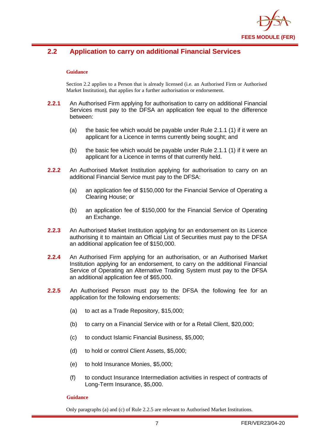

## <span id="page-8-0"></span>**2.2 Application to carry on additional Financial Services**

#### **Guidance**

Section 2.2 applies to a Person that is already licensed (i.e. an Authorised Firm or Authorised Market Institution), that applies for a further authorisation or endorsement.

- **2.2.1** An Authorised Firm applying for authorisation to carry on additional Financial Services must pay to the DFSA an application fee equal to the difference between:
	- (a) the basic fee which would be payable under Rule 2.1.1 (1) if it were an applicant for a Licence in terms currently being sought; and
	- (b) the basic fee which would be payable under Rule 2.1.1 (1) if it were an applicant for a Licence in terms of that currently held.
- **2.2.2** An Authorised Market Institution applying for authorisation to carry on an additional Financial Service must pay to the DFSA:
	- (a) an application fee of \$150,000 for the Financial Service of Operating a Clearing House; or
	- (b) an application fee of \$150,000 for the Financial Service of Operating an Exchange.
- **2.2.3** An Authorised Market Institution applying for an endorsement on its Licence authorising it to maintain an Official List of Securities must pay to the DFSA an additional application fee of \$150,000.
- **2.2.4** An Authorised Firm applying for an authorisation, or an Authorised Market Institution applying for an endorsement, to carry on the additional Financial Service of Operating an Alternative Trading System must pay to the DFSA an additional application fee of \$65,000.
- **2.2.5** An Authorised Person must pay to the DFSA the following fee for an application for the following endorsements:
	- (a) to act as a Trade Repository, \$15,000;
	- (b) to carry on a Financial Service with or for a Retail Client, \$20,000;
	- (c) to conduct Islamic Financial Business, \$5,000;
	- (d) to hold or control Client Assets, \$5,000;
	- (e) to hold Insurance Monies, \$5,000;
	- (f) to conduct Insurance Intermediation activities in respect of contracts of Long-Term Insurance, \$5,000.

#### **Guidance**

Only paragraphs (a) and (c) of Rule 2.2.5 are relevant to Authorised Market Institutions.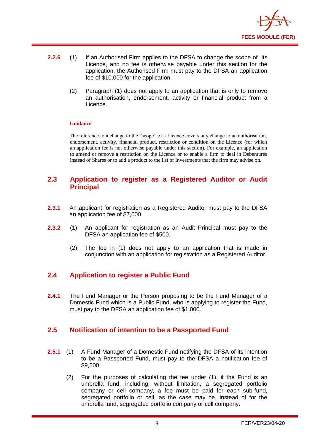

- **2.2.6** (1) If an Authorised Firm applies to the DFSA to change the scope of its Licence, and no fee is otherwise payable under this section for the application, the Authorised Firm must pay to the DFSA an application fee of \$10,000 for the application.
	- (2) Paragraph (1) does not apply to an application that is only to remove an authorisation, endorsement, activity or financial product from a Licence.

The reference to a change to the "scope" of a Licence covers any change to an authorisation, endorsement, activity, financial product, restriction or condition on the Licence (for which an application fee is not otherwise payable under this section). For example, an application to amend or remove a restriction on the Licence or to enable a firm to deal in Debentures instead of Shares or to add a product to the list of Investments that the firm may advise on.

#### <span id="page-9-0"></span>**2.3 Application to register as a Registered Auditor or Audit Principal**

- **2.3.1** An applicant for registration as a Registered Auditor must pay to the DFSA an application fee of \$7,000.
- **2.3.2** (1) An applicant for registration as an Audit Principal must pay to the DFSA an application fee of \$500.
	- (2) The fee in (1) does not apply to an application that is made in conjunction with an application for registration as a Registered Auditor.

## <span id="page-9-1"></span>**2.4 Application to register a Public Fund**

**2.4.1** The Fund Manager or the Person proposing to be the Fund Manager of a Domestic Fund which is a Public Fund, who is applying to register the Fund, must pay to the DFSA an application fee of \$1,000.

## <span id="page-9-2"></span>**2.5 Notification of intention to be a Passported Fund**

- **2.5.1** (1) A Fund Manager of a Domestic Fund notifying the DFSA of its intention to be a Passported Fund, must pay to the DFSA a notification fee of \$9,500.
	- (2) For the purposes of calculating the fee under (1), if the Fund is an umbrella fund, including, without limitation, a segregated portfolio company or cell company, a fee must be paid for each sub-fund, segregated portfolio or cell, as the case may be, instead of for the umbrella fund, segregated portfolio company or cell company.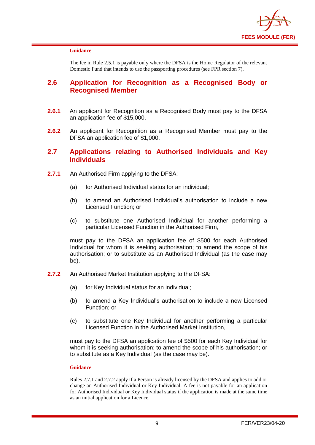

The fee in Rule 2.5.1 is payable only where the DFSA is the Home Regulator of the relevant Domestic Fund that intends to use the passporting procedures (see FPR section 7).

#### <span id="page-10-0"></span>**2.6 Application for Recognition as a Recognised Body or Recognised Member**

- **2.6.1** An applicant for Recognition as a Recognised Body must pay to the DFSA an application fee of \$15,000.
- **2.6.2** An applicant for Recognition as a Recognised Member must pay to the DFSA an application fee of \$1,000.

#### <span id="page-10-1"></span>**2.7 Applications relating to Authorised Individuals and Key Individuals**

- **2.7.1** An Authorised Firm applying to the DFSA:
	- (a) for Authorised Individual status for an individual;
	- (b) to amend an Authorised Individual's authorisation to include a new Licensed Function; or
	- (c) to substitute one Authorised Individual for another performing a particular Licensed Function in the Authorised Firm,

must pay to the DFSA an application fee of \$500 for each Authorised Individual for whom it is seeking authorisation; to amend the scope of his authorisation; or to substitute as an Authorised Individual (as the case may be).

- **2.7.2** An Authorised Market Institution applying to the DFSA:
	- (a) for Key Individual status for an individual;
	- (b) to amend a Key Individual's authorisation to include a new Licensed Function; or
	- (c) to substitute one Key Individual for another performing a particular Licensed Function in the Authorised Market Institution,

must pay to the DFSA an application fee of \$500 for each Key Individual for whom it is seeking authorisation; to amend the scope of his authorisation; or to substitute as a Key Individual (as the case may be).

#### **Guidance**

Rules 2.7.1 and 2.7.2 apply if a Person is already licensed by the DFSA and applies to add or change an Authorised Individual or Key Individual. A fee is not payable for an application for Authorised Individual or Key Individual status if the application is made at the same time as an initial application for a Licence.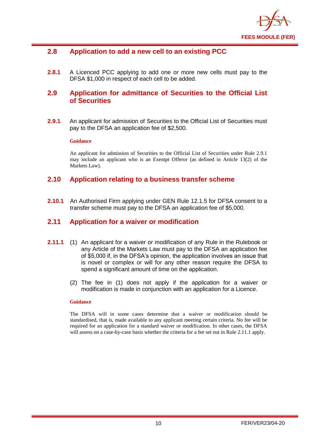

### <span id="page-11-0"></span>**2.8 Application to add a new cell to an existing PCC**

**2.8.1** A Licenced PCC applying to add one or more new cells must pay to the DFSA \$1,000 in respect of each cell to be added.

## <span id="page-11-1"></span>**2.9 Application for admittance of Securities to the Official List of Securities**

**2.9.1** An applicant for admission of Securities to the Official List of Securities must pay to the DFSA an application fee of \$2,500.

#### **Guidance**

An applicant for admission of Securities to the Official List of Securities under Rule 2.9.1 may include an applicant who is an Exempt Offeror (as defined in Article 13(2) of the Markets Law).

#### <span id="page-11-2"></span>**2.10 Application relating to a business transfer scheme**

**2.10.1** An Authorised Firm applying under GEN Rule 12.1.5 for DFSA consent to a transfer scheme must pay to the DFSA an application fee of \$5,000.

#### <span id="page-11-3"></span>**2.11 Application for a waiver or modification**

- **2.11.1** (1) An applicant for a waiver or modification of any Rule in the Rulebook or any Article of the Markets Law must pay to the DFSA an application fee of \$5,000 if, in the DFSA's opinion, the application involves an issue that is novel or complex or will for any other reason require the DFSA to spend a significant amount of time on the application.
	- (2) The fee in (1) does not apply if the application for a waiver or modification is made in conjunction with an application for a Licence.

#### **Guidance**

The DFSA will in some cases determine that a waiver or modification should be standardised, that is, made available to any applicant meeting certain criteria. No fee will be required for an application for a standard waiver or modification. In other cases, the DFSA will assess on a case-by-case basis whether the criteria for a fee set out in Rule 2.11.1 apply.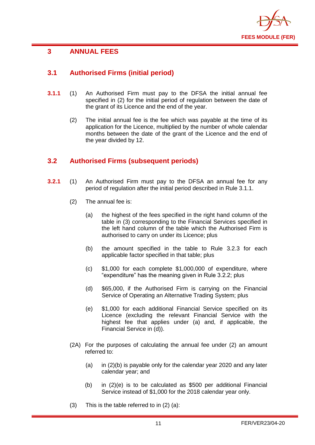

## <span id="page-12-0"></span>**3 ANNUAL FEES**

## <span id="page-12-1"></span>**3.1 Authorised Firms (initial period)**

- **3.1.1** (1) An Authorised Firm must pay to the DFSA the initial annual fee specified in (2) for the initial period of regulation between the date of the grant of its Licence and the end of the year.
	- (2) The initial annual fee is the fee which was payable at the time of its application for the Licence, multiplied by the number of whole calendar months between the date of the grant of the Licence and the end of the year divided by 12.

## <span id="page-12-2"></span>**3.2 Authorised Firms (subsequent periods)**

- **3.2.1** (1) An Authorised Firm must pay to the DFSA an annual fee for any period of regulation after the initial period described in Rule 3.1.1.
	- (2) The annual fee is:
		- (a) the highest of the fees specified in the right hand column of the table in (3) corresponding to the Financial Services specified in the left hand column of the table which the Authorised Firm is authorised to carry on under its Licence; plus
		- (b) the amount specified in the table to Rule 3.2.3 for each applicable factor specified in that table; plus
		- (c) \$1,000 for each complete \$1,000,000 of expenditure, where "expenditure" has the meaning given in Rule 3.2.2; plus
		- (d) \$65,000, if the Authorised Firm is carrying on the Financial Service of Operating an Alternative Trading System; plus
		- (e) \$1,000 for each additional Financial Service specified on its Licence (excluding the relevant Financial Service with the highest fee that applies under (a) and, if applicable, the Financial Service in (d)).
	- (2A) For the purposes of calculating the annual fee under (2) an amount referred to:
		- (a) in  $(2)(b)$  is payable only for the calendar year 2020 and any later calendar year; and
		- (b) in (2)(e) is to be calculated as \$500 per additional Financial Service instead of \$1,000 for the 2018 calendar year only.
	- (3) This is the table referred to in (2) (a):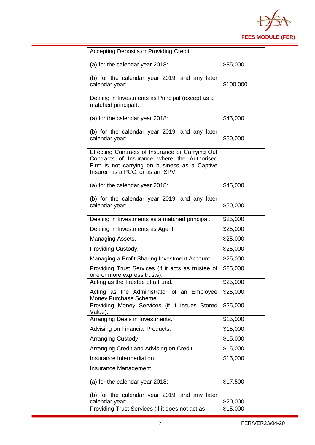

| Accepting Deposits or Providing Credit.                                                                                                                                               |           |
|---------------------------------------------------------------------------------------------------------------------------------------------------------------------------------------|-----------|
| (a) for the calendar year 2018:                                                                                                                                                       | \$85,000  |
| (b) for the calendar year 2019, and any later<br>calendar year:                                                                                                                       | \$100,000 |
| Dealing in Investments as Principal (except as a<br>matched principal).                                                                                                               |           |
| (a) for the calendar year 2018:                                                                                                                                                       | \$45,000  |
| (b) for the calendar year 2019, and any later<br>calendar year:                                                                                                                       | \$50,000  |
| Effecting Contracts of Insurance or Carrying Out<br>Contracts of Insurance where the Authorised<br>Firm is not carrying on business as a Captive<br>Insurer, as a PCC, or as an ISPV. |           |
| (a) for the calendar year 2018:                                                                                                                                                       | \$45,000  |
| (b) for the calendar year 2019, and any later<br>calendar year:                                                                                                                       | \$50,000  |
| Dealing in Investments as a matched principal.                                                                                                                                        | \$25,000  |
| Dealing in Investments as Agent.                                                                                                                                                      | \$25,000  |
| Managing Assets.                                                                                                                                                                      | \$25,000  |
| Providing Custody.                                                                                                                                                                    | \$25,000  |
| Managing a Profit Sharing Investment Account.                                                                                                                                         | \$25,000  |
| Providing Trust Services (if it acts as trustee of<br>one or more express trusts).                                                                                                    | \$25,000  |
| Acting as the Trustee of a Fund.                                                                                                                                                      | \$25,000  |
| Acting as the Administrator of an Employee<br>Money Purchase Scheme.                                                                                                                  | \$25,000  |
| Providing Money Services (if it issues Stored<br>Value).                                                                                                                              | \$25,000  |
| Arranging Deals in Investments.                                                                                                                                                       | \$15,000  |
| Advising on Financial Products.                                                                                                                                                       | \$15,000  |
| Arranging Custody.                                                                                                                                                                    | \$15,000  |
| Arranging Credit and Advising on Credit                                                                                                                                               | \$15,000  |
| Insurance Intermediation.                                                                                                                                                             | \$15,000  |
| Insurance Management.                                                                                                                                                                 |           |
| (a) for the calendar year 2018:                                                                                                                                                       | \$17,500  |
| (b) for the calendar year 2019, and any later<br>calendar year:                                                                                                                       | \$20,000  |
| Providing Trust Services (if it does not act as                                                                                                                                       | \$15,000  |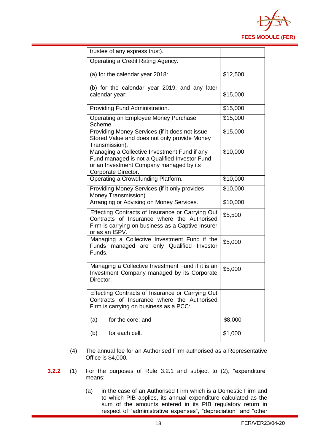

| trustee of any express trust).                                                                                                                                         |          |
|------------------------------------------------------------------------------------------------------------------------------------------------------------------------|----------|
| Operating a Credit Rating Agency.                                                                                                                                      |          |
| (a) for the calendar year 2018:                                                                                                                                        | \$12,500 |
| (b) for the calendar year 2019, and any later<br>calendar year:                                                                                                        | \$15,000 |
| Providing Fund Administration.                                                                                                                                         | \$15,000 |
| Operating an Employee Money Purchase<br>Scheme.                                                                                                                        | \$15,000 |
| Providing Money Services (if it does not issue<br>Stored Value and does not only provide Money<br>Transmission).                                                       | \$15,000 |
| Managing a Collective Investment Fund if any<br>Fund managed is not a Qualified Investor Fund<br>or an Investment Company managed by its<br>Corporate Director.        | \$10,000 |
| Operating a Crowdfunding Platform.                                                                                                                                     | \$10,000 |
| Providing Money Services (if it only provides<br>Money Transmission)                                                                                                   | \$10,000 |
| Arranging or Advising on Money Services.                                                                                                                               | \$10,000 |
| Effecting Contracts of Insurance or Carrying Out<br>Contracts of Insurance where the Authorised<br>Firm is carrying on business as a Captive Insurer<br>or as an ISPV. | \$5,500  |
| Managing a Collective Investment Fund if the<br>Funds managed are only Qualified Investor<br>Funds.                                                                    | \$5,000  |
| Managing a Collective Investment Fund if it is an<br>Investment Company managed by its Corporate<br>Director.                                                          | \$5,000  |
| Effecting Contracts of Insurance or Carrying Out<br>Contracts of Insurance where the Authorised<br>Firm is carrying on business as a PCC:                              |          |
| for the core; and<br>(a)                                                                                                                                               | \$8,000  |
| for each cell.<br>(b)                                                                                                                                                  | \$1,000  |

- (4) The annual fee for an Authorised Firm authorised as a Representative Office is \$4,000.
- **3.2.2** (1) For the purposes of Rule 3.2.1 and subject to (2), "expenditure" means:
	- (a) in the case of an Authorised Firm which is a Domestic Firm and to which PIB applies, its annual expenditure calculated as the sum of the amounts entered in its PIB regulatory return in respect of "administrative expenses", "depreciation" and "other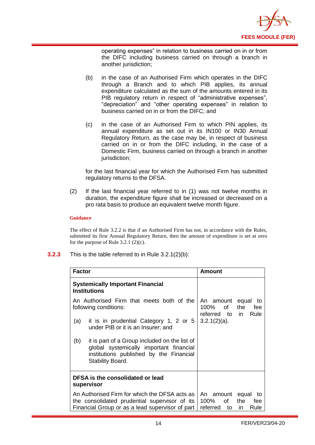

operating expenses" in relation to business carried on in or from the DIFC including business carried on through a branch in another jurisdiction;

- (b) in the case of an Authorised Firm which operates in the DIFC through a Branch and to which PIB applies, its annual expenditure calculated as the sum of the amounts entered in its PIB regulatory return in respect of "administrative expenses", "depreciation" and "other operating expenses" in relation to business carried on in or from the DIFC; and
- (c) in the case of an Authorised Firm to which PIN applies, its annual expenditure as set out in its IN100 or IN30 Annual Regulatory Return, as the case may be, in respect of business carried on in or from the DIFC including, in the case of a Domestic Firm, business carried on through a branch in another jurisdiction;

for the last financial year for which the Authorised Firm has submitted regulatory returns to the DFSA.

(2) If the last financial year referred to in (1) was not twelve months in duration, the expenditure figure shall be increased or decreased on a pro rata basis to produce an equivalent twelve month figure.

#### **Guidance**

The effect of Rule 3.2.2 is that if an Authorised Firm has not, in accordance with the Rules, submitted its first Annual Regulatory Return, then the amount of expenditure is set at zero for the purpose of Rule  $3.2.1$  (2)(c).

**3.2.3** This is the table referred to in Rule 3.2.1(2)(b):

| <b>Factor</b>                                                                                                                                     |                                                                                                                                                                                               | Amount                                                                                         |
|---------------------------------------------------------------------------------------------------------------------------------------------------|-----------------------------------------------------------------------------------------------------------------------------------------------------------------------------------------------|------------------------------------------------------------------------------------------------|
| <b>Systemically Important Financial</b><br><b>Institutions</b>                                                                                    |                                                                                                                                                                                               |                                                                                                |
| (a)                                                                                                                                               | An Authorised Firm that meets both of the<br>following conditions:<br>it is in prudential Category 1, 2 or 5                                                                                  | An amount equal<br>to<br>100%<br>of<br>the<br>fee<br>referred to in<br>Rule<br>$3.2.1(2)(a)$ . |
| (b)                                                                                                                                               | under PIB or it is an Insurer; and<br>it is part of a Group included on the list of<br>global systemically important financial<br>institutions published by the Financial<br>Stability Board. |                                                                                                |
| DFSA is the consolidated or lead<br>supervisor                                                                                                    |                                                                                                                                                                                               |                                                                                                |
| An Authorised Firm for which the DFSA acts as<br>the consolidated prudential supervisor of its<br>Financial Group or as a lead supervisor of part |                                                                                                                                                                                               | equal<br>An amount<br>to<br>100%<br>of<br>the<br>fee<br>referred<br>to<br>in.<br>Rule          |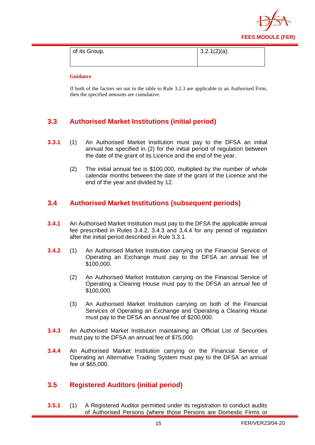

| of its Group. | $13.2.1(2)(a)$ . |
|---------------|------------------|
|               |                  |

If both of the factors set out in the table to Rule 3.2.3 are applicable to an Authorised Firm, then the specified amounts are cumulative.

## <span id="page-16-0"></span>**3.3 Authorised Market Institutions (initial period)**

- **3.3.1** (1) An Authorised Market Institution must pay to the DFSA an initial annual fee specified in (2) for the initial period of regulation between the date of the grant of its Licence and the end of the year.
	- (2) The initial annual fee is \$100,000, multiplied by the number of whole calendar months between the date of the grant of the Licence and the end of the year and divided by 12.

## <span id="page-16-1"></span>**3.4 Authorised Market Institutions (subsequent periods)**

- **3.4.1** An Authorised Market Institution must pay to the DFSA the applicable annual fee prescribed in Rules 3.4.2, 3.4.3 and 3.4.4 for any period of regulation after the initial period described in Rule 3.3.1.
- **3.4.2** (1) An Authorised Market Institution carrying on the Financial Service of Operating an Exchange must pay to the DFSA an annual fee of \$100,000.
	- (2) An Authorised Market Institution carrying on the Financial Service of Operating a Clearing House must pay to the DFSA an annual fee of \$100,000.
	- (3) An Authorised Market Institution carrying on both of the Financial Services of Operating an Exchange and Operating a Clearing House must pay to the DFSA an annual fee of \$200,000.
- **3.4.3** An Authorised Market Institution maintaining an Official List of Securities must pay to the DFSA an annual fee of \$75,000.
- **3.4.4** An Authorised Market Institution carrying on the Financial Service of Operating an Alternative Trading System must pay to the DFSA an annual fee of \$65,000.

## <span id="page-16-2"></span>**3.5 Registered Auditors (initial period)**

**3.5.1** (1) A Registered Auditor permitted under its registration to conduct audits of Authorised Persons (where those Persons are Domestic Firms or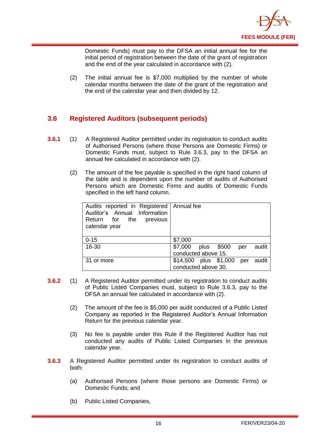

Domestic Funds) must pay to the DFSA an initial annual fee for the initial period of registration between the date of the grant of registration and the end of the year calculated in accordance with (2).

(2) The initial annual fee is \$7,000 multiplied by the number of whole calendar months between the date of the grant of the registration and the end of the calendar year and then divided by 12.

## <span id="page-17-0"></span>**3.6 Registered Auditors (subsequent periods)**

- **3.6.1** (1) A Registered Auditor permitted under its registration to conduct audits of Authorised Persons (where those Persons are Domestic Firms) or Domestic Funds must, subject to Rule 3.6.3, pay to the DFSA an annual fee calculated in accordance with (2).
	- (2) The amount of the fee payable is specified in the right hand column of the table and is dependent upon the number of audits of Authorised Persons which are Domestic Firms and audits of Domestic Funds specified in the left hand column.

| Audits reported in Registered   Annual fee<br>Auditor's Annual Information<br>Return for the previous<br>calendar year |                                                           |
|------------------------------------------------------------------------------------------------------------------------|-----------------------------------------------------------|
| $0 - 15$                                                                                                               | \$7,000                                                   |
| 16-30                                                                                                                  | \$7,000 plus \$500<br>audit<br>per<br>conducted above 15. |
| 31 or more                                                                                                             | \$14,500 plus \$1,000 per<br>audit<br>conducted above 30. |

- **3.6.2** (1) A Registered Auditor permitted under its registration to conduct audits of Public Listed Companies must, subject to Rule 3.6.3, pay to the DFSA an annual fee calculated in accordance with (2).
	- (2) The amount of the fee is \$5,000 per audit conducted of a Public Listed Company as reported in the Registered Auditor's Annual Information Return for the previous calendar year.
	- (3) No fee is payable under this Rule if the Registered Auditor has not conducted any audits of Public Listed Companies in the previous calendar year.
- **3.6.3** A Registered Auditor permitted under its registration to conduct audits of both:
	- (a) Authorised Persons (where those persons are Domestic Firms) or Domestic Funds; and
	- (b) Public Listed Companies,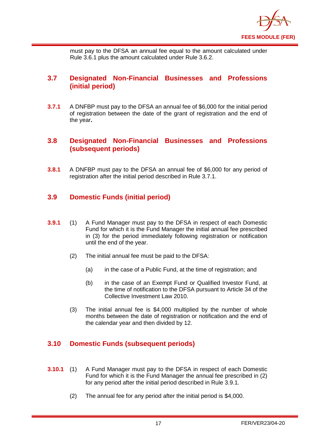

must pay to the DFSA an annual fee equal to the amount calculated under Rule 3.6.1 plus the amount calculated under Rule 3.6.2.

## <span id="page-18-0"></span>**3.7 Designated Non-Financial Businesses and Professions (initial period)**

**3.7.1** A DNFBP must pay to the DFSA an annual fee of \$6,000 for the initial period of registration between the date of the grant of registration and the end of the year**.** 

## <span id="page-18-1"></span>**3.8 Designated Non-Financial Businesses and Professions (subsequent periods)**

**3.8.1** A DNFBP must pay to the DFSA an annual fee of \$6,000 for any period of registration after the initial period described in Rule 3.7.1.

## <span id="page-18-2"></span>**3.9 Domestic Funds (initial period)**

- **3.9.1** (1) A Fund Manager must pay to the DFSA in respect of each Domestic Fund for which it is the Fund Manager the initial annual fee prescribed in (3) for the period immediately following registration or notification until the end of the year.
	- (2) The initial annual fee must be paid to the DFSA:
		- (a) in the case of a Public Fund, at the time of registration; and
		- (b) in the case of an Exempt Fund or Qualified Investor Fund, at the time of notification to the DFSA pursuant to Article 34 of the Collective Investment Law 2010.
	- (3) The initial annual fee is \$4,000 multiplied by the number of whole months between the date of registration or notification and the end of the calendar year and then divided by 12.

## <span id="page-18-3"></span>**3.10 Domestic Funds (subsequent periods)**

- **3.10.1** (1) A Fund Manager must pay to the DFSA in respect of each Domestic Fund for which it is the Fund Manager the annual fee prescribed in (2) for any period after the initial period described in Rule 3.9.1.
	- (2) The annual fee for any period after the initial period is \$4,000.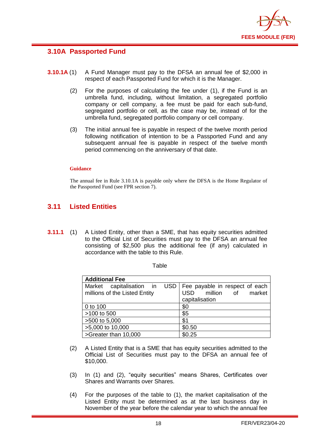

## <span id="page-19-0"></span>**3.10A Passported Fund**

- **3.10.1A** (1) A Fund Manager must pay to the DFSA an annual fee of \$2,000 in respect of each Passported Fund for which it is the Manager.
	- (2) For the purposes of calculating the fee under (1), if the Fund is an umbrella fund, including, without limitation, a segregated portfolio company or cell company, a fee must be paid for each sub-fund, segregated portfolio or cell, as the case may be, instead of for the umbrella fund, segregated portfolio company or cell company.
	- (3) The initial annual fee is payable in respect of the twelve month period following notification of intention to be a Passported Fund and any subsequent annual fee is payable in respect of the twelve month period commencing on the anniversary of that date.

#### **Guidance**

The annual fee in Rule 3.10.1A is payable only where the DFSA is the Home Regulator of the Passported Fund (see FPR section 7).

## <span id="page-19-1"></span>**3.11 Listed Entities**

**3.11.1** (1) A Listed Entity, other than a SME, that has equity securities admitted to the Official List of Securities must pay to the DFSA an annual fee consisting of \$2,500 plus the additional fee (if any) calculated in accordance with the table to this Rule.

**Table** 

| <b>Additional Fee</b>                                         |                       |  |  |
|---------------------------------------------------------------|-----------------------|--|--|
| Market capitalisation in USD   Fee payable in respect of each |                       |  |  |
| millions of the Listed Entity                                 | USD million of market |  |  |
|                                                               | capitalisation        |  |  |
| 0 to 100                                                      | \$0                   |  |  |
| >100 to 500                                                   | \$5                   |  |  |
| >500 to 5,000                                                 | \$1                   |  |  |
| >5,000 to 10,000                                              | \$0.50                |  |  |
| >Greater than 10,000                                          | \$0.25                |  |  |

- (2) A Listed Entity that is a SME that has equity securities admitted to the Official List of Securities must pay to the DFSA an annual fee of \$10,000.
- (3) In (1) and (2), "equity securities" means Shares, Certificates over Shares and Warrants over Shares.
- (4) For the purposes of the table to (1), the market capitalisation of the Listed Entity must be determined as at the last business day in November of the year before the calendar year to which the annual fee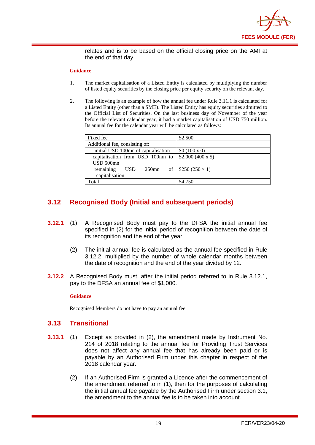

relates and is to be based on the official closing price on the AMI at the end of that day.

#### **Guidance**

- 1. The market capitalisation of a Listed Entity is calculated by multiplying the number of listed equity securities by the closing price per equity security on the relevant day.
- 2. The following is an example of how the annual fee under Rule 3.11.1 is calculated for a Listed Entity (other than a SME). The Listed Entity has equity securities admitted to the Official List of Securities. On the last business day of November of the year before the relevant calendar year, it had a market capitalisation of USD 750 million. Its annual fee for the calendar year will be calculated as follows:

| Fixed fee                           | \$2,500                    |
|-------------------------------------|----------------------------|
| Additional fee, consisting of:      |                            |
| initial USD 100mn of capitalisation | \$0 (100 x 0)              |
| capitalisation from USD 100mn to    | \$2,000 (400 x 5)          |
| USD 500mn                           |                            |
| remaining<br><b>USD</b><br>$250$ mn | of   $$250 (250 \times 1)$ |
| capitalisation                      |                            |
| Total                               | \$4,750                    |

## <span id="page-20-0"></span>**3.12 Recognised Body (Initial and subsequent periods)**

- **3.12.1** (1) A Recognised Body must pay to the DFSA the initial annual fee specified in (2) for the initial period of recognition between the date of its recognition and the end of the year.
	- (2) The initial annual fee is calculated as the annual fee specified in Rule 3.12.2, multiplied by the number of whole calendar months between the date of recognition and the end of the year divided by 12.
- **3.12.2** A Recognised Body must, after the initial period referred to in Rule 3.12.1, pay to the DFSA an annual fee of \$1,000.

#### **Guidance**

Recognised Members do not have to pay an annual fee.

#### <span id="page-20-1"></span>**3.13 Transitional**

- **3.13.1** (1) Except as provided in (2), the amendment made by Instrument No. 214 of 2018 relating to the annual fee for Providing Trust Services does not affect any annual fee that has already been paid or is payable by an Authorised Firm under this chapter in respect of the 2018 calendar year.
	- (2) If an Authorised Firm is granted a Licence after the commencement of the amendment referred to in (1), then for the purposes of calculating the initial annual fee payable by the Authorised Firm under section 3.1, the amendment to the annual fee is to be taken into account.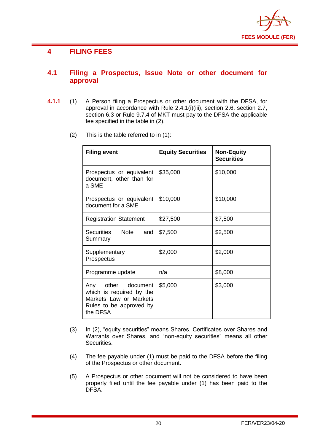

## <span id="page-21-0"></span>**4 FILING FEES**

### <span id="page-21-1"></span>**4.1 Filing a Prospectus, Issue Note or other document for approval**

- **4.1.1** (1) A Person filing a Prospectus or other document with the DFSA, for approval in accordance with Rule 2.4.1(i)(iii), section 2.6, section 2.7, section 6.3 or Rule 9.7.4 of MKT must pay to the DFSA the applicable fee specified in the table in (2).
	- (2) This is the table referred to in (1):

| <b>Filing event</b>                                                                                             | <b>Equity Securities</b> | <b>Non-Equity</b><br><b>Securities</b> |
|-----------------------------------------------------------------------------------------------------------------|--------------------------|----------------------------------------|
| Prospectus or equivalent<br>document, other than for<br>a SME                                                   | \$35,000                 | \$10,000                               |
| Prospectus or equivalent<br>document for a SME                                                                  | \$10,000                 | \$10,000                               |
| <b>Registration Statement</b>                                                                                   | \$27,500                 | \$7,500                                |
| Note<br><b>Securities</b><br>and<br>Summary                                                                     | \$7,500                  | \$2,500                                |
| Supplementary<br>Prospectus                                                                                     | \$2,000                  | \$2,000                                |
| Programme update                                                                                                | n/a                      | \$8,000                                |
| Any other document<br>which is required by the<br>Markets Law or Markets<br>Rules to be approved by<br>the DFSA | \$5,000                  | \$3,000                                |

- (3) In (2), "equity securities" means Shares, Certificates over Shares and Warrants over Shares, and "non-equity securities" means all other Securities.
- (4) The fee payable under (1) must be paid to the DFSA before the filing of the Prospectus or other document.
- (5) A Prospectus or other document will not be considered to have been properly filed until the fee payable under (1) has been paid to the DFSA.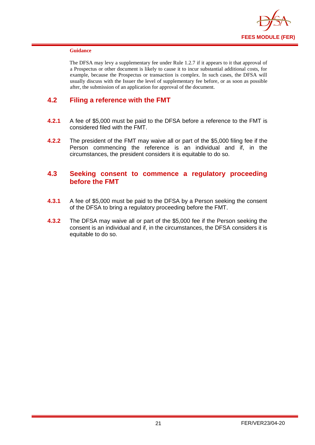

The DFSA may levy a supplementary fee under Rule 1.2.7 if it appears to it that approval of a Prospectus or other document is likely to cause it to incur substantial additional costs, for example, because the Prospectus or transaction is complex. In such cases, the DFSA will usually discuss with the Issuer the level of supplementary fee before, or as soon as possible after, the submission of an application for approval of the document.

#### <span id="page-22-0"></span>**4.2 Filing a reference with the FMT**

- **4.2.1** A fee of \$5,000 must be paid to the DFSA before a reference to the FMT is considered filed with the FMT.
- **4.2.2** The president of the FMT may waive all or part of the \$5,000 filing fee if the Person commencing the reference is an individual and if, in the circumstances, the president considers it is equitable to do so.

#### <span id="page-22-1"></span>**4.3 Seeking consent to commence a regulatory proceeding before the FMT**

- **4.3.1** A fee of \$5,000 must be paid to the DFSA by a Person seeking the consent of the DFSA to bring a regulatory proceeding before the FMT.
- **4.3.2** The DFSA may waive all or part of the \$5,000 fee if the Person seeking the consent is an individual and if, in the circumstances, the DFSA considers it is equitable to do so.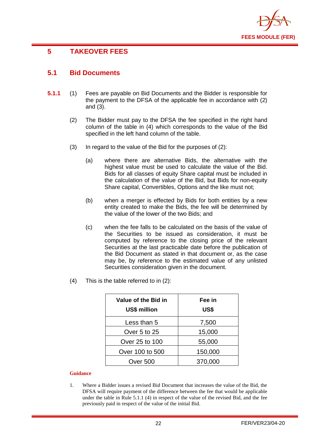

## <span id="page-23-0"></span>**5 TAKEOVER FEES**

## <span id="page-23-1"></span>**5.1 Bid Documents**

- **5.1.1** (1) Fees are payable on Bid Documents and the Bidder is responsible for the payment to the DFSA of the applicable fee in accordance with (2) and (3).
	- (2) The Bidder must pay to the DFSA the fee specified in the right hand column of the table in (4) which corresponds to the value of the Bid specified in the left hand column of the table.
	- (3) In regard to the value of the Bid for the purposes of (2):
		- (a) where there are alternative Bids, the alternative with the highest value must be used to calculate the value of the Bid. Bids for all classes of equity Share capital must be included in the calculation of the value of the Bid, but Bids for non-equity Share capital, Convertibles, Options and the like must not;
		- (b) when a merger is effected by Bids for both entities by a new entity created to make the Bids, the fee will be determined by the value of the lower of the two Bids; and
		- (c) when the fee falls to be calculated on the basis of the value of the Securities to be issued as consideration, it must be computed by reference to the closing price of the relevant Securities at the last practicable date before the publication of the Bid Document as stated in that document or, as the case may be, by reference to the estimated value of any unlisted Securities consideration given in the document.
	- (4) This is the table referred to in (2):

| Value of the Bid in<br><b>US\$ million</b> | Fee in<br>US\$ |
|--------------------------------------------|----------------|
| Less than 5                                | 7,500          |
| Over 5 to 25                               | 15,000         |
| Over 25 to 100                             | 55,000         |
| Over 100 to 500                            | 150,000        |
| Over 500                                   | 370,000        |

#### **Guidance**

1. Where a Bidder issues a revised Bid Document that increases the value of the Bid, the DFSA will require payment of the difference between the fee that would be applicable under the table in Rule 5.1.1 (4) in respect of the value of the revised Bid, and the fee previously paid in respect of the value of the initial Bid.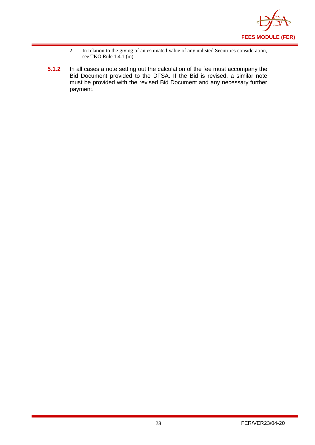

- 2. In relation to the giving of an estimated value of any unlisted Securities consideration, see TKO Rule 1.4.1 (m).
- **5.1.2** In all cases a note setting out the calculation of the fee must accompany the Bid Document provided to the DFSA. If the Bid is revised, a similar note must be provided with the revised Bid Document and any necessary further payment.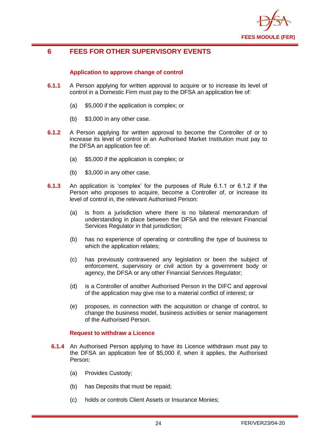

## <span id="page-25-0"></span>**6 FEES FOR OTHER SUPERVISORY EVENTS**

#### **Application to approve change of control**

- **6.1.1** A Person applying for written approval to acquire or to increase its level of control in a Domestic Firm must pay to the DFSA an application fee of:
	- (a) \$5,000 if the application is complex; or
	- (b) \$3,000 in any other case.
- **6.1.2** A Person applying for written approval to become the Controller of or to increase its level of control in an Authorised Market Institution must pay to the DFSA an application fee of:
	- (a) \$5,000 if the application is complex; or
	- (b) \$3,000 in any other case.
- **6.1.3** An application is 'complex' for the purposes of Rule 6.1.1 or 6.1.2 if the Person who proposes to acquire, become a Controller of, or increase its level of control in, the relevant Authorised Person:
	- (a) is from a jurisdiction where there is no bilateral memorandum of understanding in place between the DFSA and the relevant Financial Services Regulator in that jurisdiction;
	- (b) has no experience of operating or controlling the type of business to which the application relates;
	- (c) has previously contravened any legislation or been the subject of enforcement, supervisory or civil action by a government body or agency, the DFSA or any other Financial Services Regulator;
	- (d) is a Controller of another Authorised Person in the DIFC and approval of the application may give rise to a material conflict of interest; or
	- (e) proposes, in connection with the acquisition or change of control, to change the business model, business activities or senior management of the Authorised Person.

#### **Request to withdraw a Licence**

- **6.1.4** An Authorised Person applying to have its Licence withdrawn must pay to the DFSA an application fee of \$5,000 if, when it applies, the Authorised Person:
	- (a) Provides Custody;
	- (b) has Deposits that must be repaid;
	- (c) holds or controls Client Assets or Insurance Monies;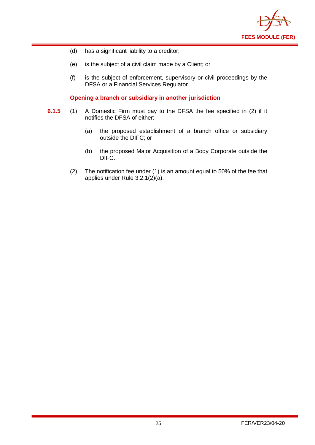

- (d) has a significant liability to a creditor;
- (e) is the subject of a civil claim made by a Client; or
- (f) is the subject of enforcement, supervisory or civil proceedings by the DFSA or a Financial Services Regulator.

#### **Opening a branch or subsidiary in another jurisdiction**

- **6.1.5** (1) A Domestic Firm must pay to the DFSA the fee specified in (2) if it notifies the DFSA of either:
	- (a) the proposed establishment of a branch office or subsidiary outside the DIFC; or
	- (b) the proposed Major Acquisition of a Body Corporate outside the DIFC.
	- (2) The notification fee under (1) is an amount equal to 50% of the fee that applies under Rule 3.2.1(2)(a).